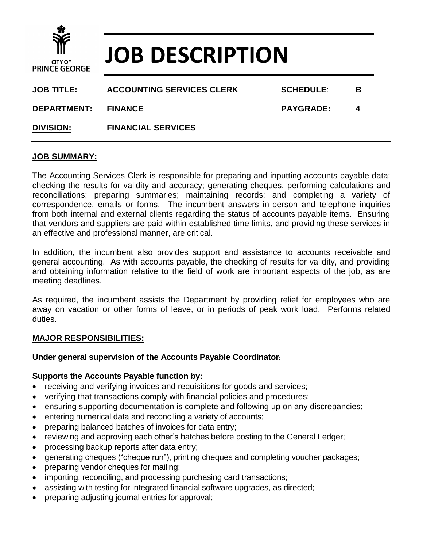

# **JOB DESCRIPTION**

| <b>JOB TITLE:</b>  | <b>ACCOUNTING SERVICES CLERK</b> | <b>SCHEDULE:</b> | В |
|--------------------|----------------------------------|------------------|---|
| <b>DEPARTMENT:</b> | <b>FINANCE</b>                   | <b>PAYGRADE:</b> | 4 |
| <b>DIVISION:</b>   | <b>FINANCIAL SERVICES</b>        |                  |   |

### **JOB SUMMARY:**

The Accounting Services Clerk is responsible for preparing and inputting accounts payable data; checking the results for validity and accuracy; generating cheques, performing calculations and reconciliations; preparing summaries; maintaining records; and completing a variety of correspondence, emails or forms. The incumbent answers in-person and telephone inquiries from both internal and external clients regarding the status of accounts payable items. Ensuring that vendors and suppliers are paid within established time limits, and providing these services in an effective and professional manner, are critical.

In addition, the incumbent also provides support and assistance to accounts receivable and general accounting. As with accounts payable, the checking of results for validity, and providing and obtaining information relative to the field of work are important aspects of the job, as are meeting deadlines.

As required, the incumbent assists the Department by providing relief for employees who are away on vacation or other forms of leave, or in periods of peak work load. Performs related duties.

### **MAJOR RESPONSIBILITIES:**

### **Under general supervision of the Accounts Payable Coordinator:**

### **Supports the Accounts Payable function by:**

- receiving and verifying invoices and requisitions for goods and services;
- verifying that transactions comply with financial policies and procedures;
- ensuring supporting documentation is complete and following up on any discrepancies;
- entering numerical data and reconciling a variety of accounts;
- preparing balanced batches of invoices for data entry;
- reviewing and approving each other's batches before posting to the General Ledger;
- processing backup reports after data entry;
- generating cheques ("cheque run"), printing cheques and completing voucher packages;
- preparing vendor cheques for mailing;
- importing, reconciling, and processing purchasing card transactions;
- assisting with testing for integrated financial software upgrades, as directed;
- preparing adjusting journal entries for approval;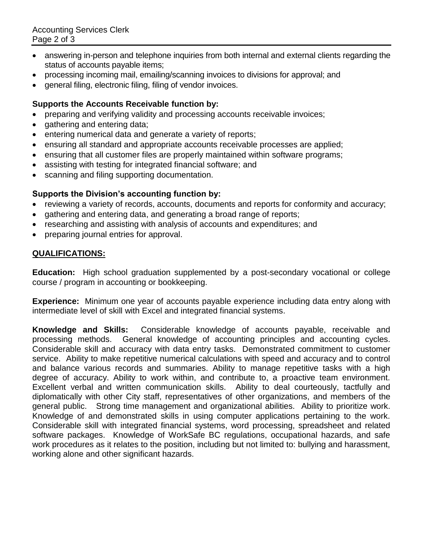- answering in-person and telephone inquiries from both internal and external clients regarding the status of accounts payable items;
- processing incoming mail, emailing/scanning invoices to divisions for approval; and
- general filing, electronic filing, filing of vendor invoices.

# **Supports the Accounts Receivable function by:**

- preparing and verifying validity and processing accounts receivable invoices;
- gathering and entering data;
- entering numerical data and generate a variety of reports;
- ensuring all standard and appropriate accounts receivable processes are applied;
- ensuring that all customer files are properly maintained within software programs;
- assisting with testing for integrated financial software; and
- scanning and filing supporting documentation.

# **Supports the Division's accounting function by:**

- reviewing a variety of records, accounts, documents and reports for conformity and accuracy;
- gathering and entering data, and generating a broad range of reports;
- researching and assisting with analysis of accounts and expenditures; and
- preparing journal entries for approval.

# **QUALIFICATIONS:**

**Education:** High school graduation supplemented by a post-secondary vocational or college course / program in accounting or bookkeeping.

**Experience:** Minimum one year of accounts payable experience including data entry along with intermediate level of skill with Excel and integrated financial systems.

**Knowledge and Skills:** Considerable knowledge of accounts payable, receivable and processing methods. General knowledge of accounting principles and accounting cycles. Considerable skill and accuracy with data entry tasks. Demonstrated commitment to customer service. Ability to make repetitive numerical calculations with speed and accuracy and to control and balance various records and summaries. Ability to manage repetitive tasks with a high degree of accuracy. Ability to work within, and contribute to, a proactive team environment. Excellent verbal and written communication skills. Ability to deal courteously, tactfully and diplomatically with other City staff, representatives of other organizations, and members of the general public. Strong time management and organizational abilities. Ability to prioritize work. Knowledge of and demonstrated skills in using computer applications pertaining to the work. Considerable skill with integrated financial systems, word processing, spreadsheet and related software packages. Knowledge of WorkSafe BC regulations, occupational hazards, and safe work procedures as it relates to the position, including but not limited to: bullying and harassment, working alone and other significant hazards.